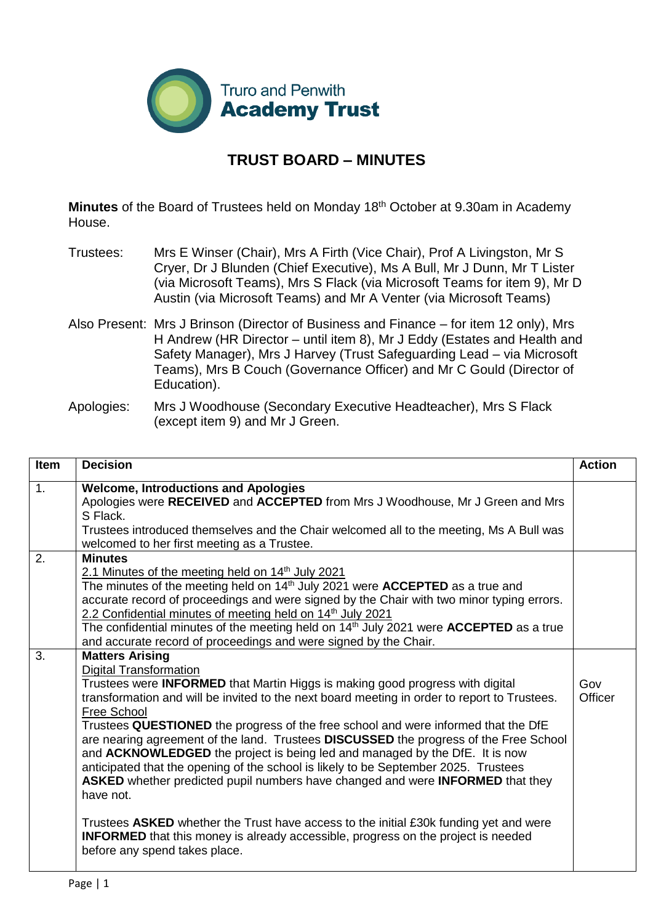

## **TRUST BOARD – MINUTES**

**Minutes** of the Board of Trustees held on Monday 18th October at 9.30am in Academy House.

| Trustees: | Mrs E Winser (Chair), Mrs A Firth (Vice Chair), Prof A Livingston, Mr S<br>Cryer, Dr J Blunden (Chief Executive), Ms A Bull, Mr J Dunn, Mr T Lister<br>(via Microsoft Teams), Mrs S Flack (via Microsoft Teams for item 9), Mr D<br>Austin (via Microsoft Teams) and Mr A Venter (via Microsoft Teams) |
|-----------|--------------------------------------------------------------------------------------------------------------------------------------------------------------------------------------------------------------------------------------------------------------------------------------------------------|
|           |                                                                                                                                                                                                                                                                                                        |

Also Present: Mrs J Brinson (Director of Business and Finance – for item 12 only), Mrs H Andrew (HR Director – until item 8), Mr J Eddy (Estates and Health and Safety Manager), Mrs J Harvey (Trust Safeguarding Lead – via Microsoft Teams), Mrs B Couch (Governance Officer) and Mr C Gould (Director of Education).

Apologies: Mrs J Woodhouse (Secondary Executive Headteacher), Mrs S Flack (except item 9) and Mr J Green.

| <b>Item</b> | <b>Decision</b>                                                                                                                                                                                                                                                                                                                                                                                                                                                                                                                                                                                                                                                                                                                                                                                                                                                                                                                                 | <b>Action</b>  |
|-------------|-------------------------------------------------------------------------------------------------------------------------------------------------------------------------------------------------------------------------------------------------------------------------------------------------------------------------------------------------------------------------------------------------------------------------------------------------------------------------------------------------------------------------------------------------------------------------------------------------------------------------------------------------------------------------------------------------------------------------------------------------------------------------------------------------------------------------------------------------------------------------------------------------------------------------------------------------|----------------|
| 1.          | <b>Welcome, Introductions and Apologies</b><br>Apologies were RECEIVED and ACCEPTED from Mrs J Woodhouse, Mr J Green and Mrs<br>S Flack.<br>Trustees introduced themselves and the Chair welcomed all to the meeting, Ms A Bull was<br>welcomed to her first meeting as a Trustee.                                                                                                                                                                                                                                                                                                                                                                                                                                                                                                                                                                                                                                                              |                |
| 2.          | <b>Minutes</b><br>2.1 Minutes of the meeting held on 14 <sup>th</sup> July 2021<br>The minutes of the meeting held on $14th$ July 2021 were <b>ACCEPTED</b> as a true and<br>accurate record of proceedings and were signed by the Chair with two minor typing errors.<br>2.2 Confidential minutes of meeting held on 14 <sup>th</sup> July 2021<br>The confidential minutes of the meeting held on $14th$ July 2021 were <b>ACCEPTED</b> as a true<br>and accurate record of proceedings and were signed by the Chair.                                                                                                                                                                                                                                                                                                                                                                                                                         |                |
| 3.          | <b>Matters Arising</b><br><b>Digital Transformation</b><br>Trustees were <b>INFORMED</b> that Martin Higgs is making good progress with digital<br>transformation and will be invited to the next board meeting in order to report to Trustees.<br><b>Free School</b><br>Trustees QUESTIONED the progress of the free school and were informed that the DfE<br>are nearing agreement of the land. Trustees DISCUSSED the progress of the Free School<br>and ACKNOWLEDGED the project is being led and managed by the DfE. It is now<br>anticipated that the opening of the school is likely to be September 2025. Trustees<br>ASKED whether predicted pupil numbers have changed and were INFORMED that they<br>have not.<br>Trustees ASKED whether the Trust have access to the initial £30k funding yet and were<br><b>INFORMED</b> that this money is already accessible, progress on the project is needed<br>before any spend takes place. | Gov<br>Officer |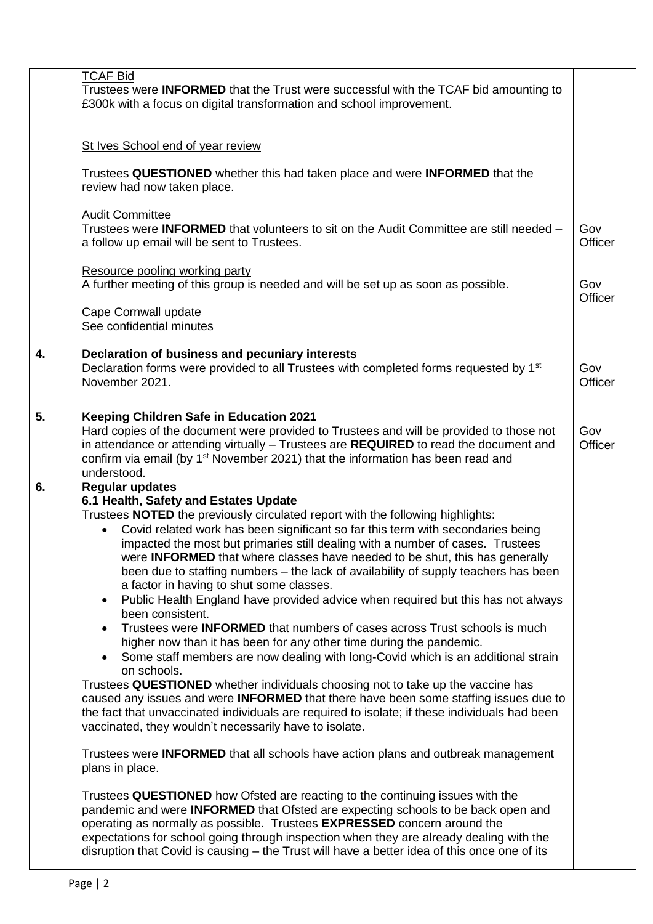|    | <b>TCAF Bid</b>                                                                                                                                                                                                                                                                                                                                                                                                                                                                                                                                                                                                                                                                                                                                                                                                                                                                                                                                                                                                                                                                                                                                                                                                                                                                                                                                                                                                                                                                                                                                                                                                                                                                                                                                                                                                                                                |                |
|----|----------------------------------------------------------------------------------------------------------------------------------------------------------------------------------------------------------------------------------------------------------------------------------------------------------------------------------------------------------------------------------------------------------------------------------------------------------------------------------------------------------------------------------------------------------------------------------------------------------------------------------------------------------------------------------------------------------------------------------------------------------------------------------------------------------------------------------------------------------------------------------------------------------------------------------------------------------------------------------------------------------------------------------------------------------------------------------------------------------------------------------------------------------------------------------------------------------------------------------------------------------------------------------------------------------------------------------------------------------------------------------------------------------------------------------------------------------------------------------------------------------------------------------------------------------------------------------------------------------------------------------------------------------------------------------------------------------------------------------------------------------------------------------------------------------------------------------------------------------------|----------------|
|    | Trustees were <b>INFORMED</b> that the Trust were successful with the TCAF bid amounting to<br>£300k with a focus on digital transformation and school improvement.                                                                                                                                                                                                                                                                                                                                                                                                                                                                                                                                                                                                                                                                                                                                                                                                                                                                                                                                                                                                                                                                                                                                                                                                                                                                                                                                                                                                                                                                                                                                                                                                                                                                                            |                |
|    | <b>St Ives School end of year review</b>                                                                                                                                                                                                                                                                                                                                                                                                                                                                                                                                                                                                                                                                                                                                                                                                                                                                                                                                                                                                                                                                                                                                                                                                                                                                                                                                                                                                                                                                                                                                                                                                                                                                                                                                                                                                                       |                |
|    | Trustees QUESTIONED whether this had taken place and were INFORMED that the<br>review had now taken place.                                                                                                                                                                                                                                                                                                                                                                                                                                                                                                                                                                                                                                                                                                                                                                                                                                                                                                                                                                                                                                                                                                                                                                                                                                                                                                                                                                                                                                                                                                                                                                                                                                                                                                                                                     |                |
|    | <b>Audit Committee</b><br>Trustees were <b>INFORMED</b> that volunteers to sit on the Audit Committee are still needed –<br>a follow up email will be sent to Trustees.                                                                                                                                                                                                                                                                                                                                                                                                                                                                                                                                                                                                                                                                                                                                                                                                                                                                                                                                                                                                                                                                                                                                                                                                                                                                                                                                                                                                                                                                                                                                                                                                                                                                                        | Gov<br>Officer |
|    | Resource pooling working party<br>A further meeting of this group is needed and will be set up as soon as possible.                                                                                                                                                                                                                                                                                                                                                                                                                                                                                                                                                                                                                                                                                                                                                                                                                                                                                                                                                                                                                                                                                                                                                                                                                                                                                                                                                                                                                                                                                                                                                                                                                                                                                                                                            | Gov<br>Officer |
|    | <b>Cape Cornwall update</b><br>See confidential minutes                                                                                                                                                                                                                                                                                                                                                                                                                                                                                                                                                                                                                                                                                                                                                                                                                                                                                                                                                                                                                                                                                                                                                                                                                                                                                                                                                                                                                                                                                                                                                                                                                                                                                                                                                                                                        |                |
| 4. | Declaration of business and pecuniary interests<br>Declaration forms were provided to all Trustees with completed forms requested by 1 <sup>st</sup><br>November 2021.                                                                                                                                                                                                                                                                                                                                                                                                                                                                                                                                                                                                                                                                                                                                                                                                                                                                                                                                                                                                                                                                                                                                                                                                                                                                                                                                                                                                                                                                                                                                                                                                                                                                                         | Gov<br>Officer |
| 5. | Keeping Children Safe in Education 2021<br>Hard copies of the document were provided to Trustees and will be provided to those not<br>in attendance or attending virtually - Trustees are REQUIRED to read the document and<br>confirm via email (by $1st$ November 2021) that the information has been read and<br>understood.                                                                                                                                                                                                                                                                                                                                                                                                                                                                                                                                                                                                                                                                                                                                                                                                                                                                                                                                                                                                                                                                                                                                                                                                                                                                                                                                                                                                                                                                                                                                | Gov<br>Officer |
| 6. | <b>Regular updates</b><br>6.1 Health, Safety and Estates Update<br>Trustees NOTED the previously circulated report with the following highlights:<br>Covid related work has been significant so far this term with secondaries being<br>$\bullet$<br>impacted the most but primaries still dealing with a number of cases. Trustees<br>were <b>INFORMED</b> that where classes have needed to be shut, this has generally<br>been due to staffing numbers - the lack of availability of supply teachers has been<br>a factor in having to shut some classes.<br>Public Health England have provided advice when required but this has not always<br>$\bullet$<br>been consistent.<br>Trustees were <b>INFORMED</b> that numbers of cases across Trust schools is much<br>higher now than it has been for any other time during the pandemic.<br>Some staff members are now dealing with long-Covid which is an additional strain<br>on schools.<br>Trustees QUESTIONED whether individuals choosing not to take up the vaccine has<br>caused any issues and were <b>INFORMED</b> that there have been some staffing issues due to<br>the fact that unvaccinated individuals are required to isolate; if these individuals had been<br>vaccinated, they wouldn't necessarily have to isolate.<br>Trustees were <b>INFORMED</b> that all schools have action plans and outbreak management<br>plans in place.<br>Trustees QUESTIONED how Ofsted are reacting to the continuing issues with the<br>pandemic and were <b>INFORMED</b> that Ofsted are expecting schools to be back open and<br>operating as normally as possible. Trustees EXPRESSED concern around the<br>expectations for school going through inspection when they are already dealing with the<br>disruption that Covid is causing – the Trust will have a better idea of this once one of its |                |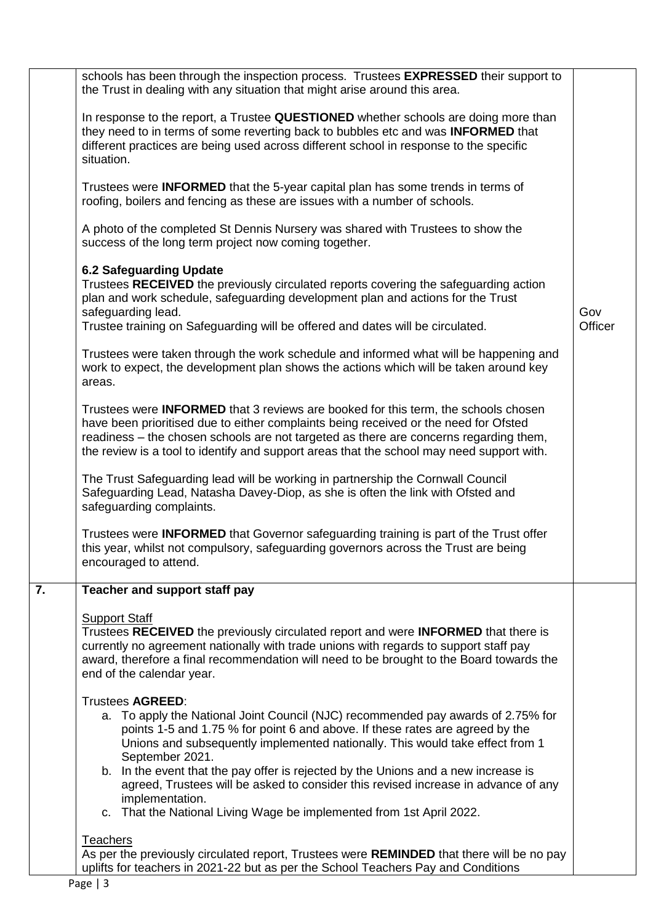|    | schools has been through the inspection process. Trustees EXPRESSED their support to<br>the Trust in dealing with any situation that might arise around this area.                                                                                                                                                                                                      |                |
|----|-------------------------------------------------------------------------------------------------------------------------------------------------------------------------------------------------------------------------------------------------------------------------------------------------------------------------------------------------------------------------|----------------|
|    | In response to the report, a Trustee QUESTIONED whether schools are doing more than<br>they need to in terms of some reverting back to bubbles etc and was <b>INFORMED</b> that<br>different practices are being used across different school in response to the specific<br>situation.                                                                                 |                |
|    | Trustees were <b>INFORMED</b> that the 5-year capital plan has some trends in terms of<br>roofing, boilers and fencing as these are issues with a number of schools.                                                                                                                                                                                                    |                |
|    | A photo of the completed St Dennis Nursery was shared with Trustees to show the<br>success of the long term project now coming together.                                                                                                                                                                                                                                |                |
|    | <b>6.2 Safeguarding Update</b><br>Trustees RECEIVED the previously circulated reports covering the safeguarding action<br>plan and work schedule, safeguarding development plan and actions for the Trust<br>safeguarding lead.<br>Trustee training on Safeguarding will be offered and dates will be circulated.                                                       | Gov<br>Officer |
|    | Trustees were taken through the work schedule and informed what will be happening and<br>work to expect, the development plan shows the actions which will be taken around key<br>areas.                                                                                                                                                                                |                |
|    | Trustees were <b>INFORMED</b> that 3 reviews are booked for this term, the schools chosen<br>have been prioritised due to either complaints being received or the need for Ofsted<br>readiness – the chosen schools are not targeted as there are concerns regarding them,<br>the review is a tool to identify and support areas that the school may need support with. |                |
|    | The Trust Safeguarding lead will be working in partnership the Cornwall Council<br>Safeguarding Lead, Natasha Davey-Diop, as she is often the link with Ofsted and<br>safeguarding complaints.                                                                                                                                                                          |                |
|    | Trustees were <b>INFORMED</b> that Governor safeguarding training is part of the Trust offer<br>this year, whilst not compulsory, safeguarding governors across the Trust are being<br>encouraged to attend.                                                                                                                                                            |                |
| 7. | Teacher and support staff pay                                                                                                                                                                                                                                                                                                                                           |                |
|    | <b>Support Staff</b><br>Trustees RECEIVED the previously circulated report and were INFORMED that there is<br>currently no agreement nationally with trade unions with regards to support staff pay<br>award, therefore a final recommendation will need to be brought to the Board towards the<br>end of the calendar year.                                            |                |
|    | <b>Trustees AGREED:</b><br>a. To apply the National Joint Council (NJC) recommended pay awards of 2.75% for<br>points 1-5 and 1.75 % for point 6 and above. If these rates are agreed by the<br>Unions and subsequently implemented nationally. This would take effect from 1<br>September 2021.                                                                        |                |
|    | b. In the event that the pay offer is rejected by the Unions and a new increase is<br>agreed, Trustees will be asked to consider this revised increase in advance of any<br>implementation.<br>c. That the National Living Wage be implemented from 1st April 2022.                                                                                                     |                |
|    | <b>Teachers</b><br>As per the previously circulated report, Trustees were REMINDED that there will be no pay<br>uplifts for teachers in 2021-22 but as per the School Teachers Pay and Conditions                                                                                                                                                                       |                |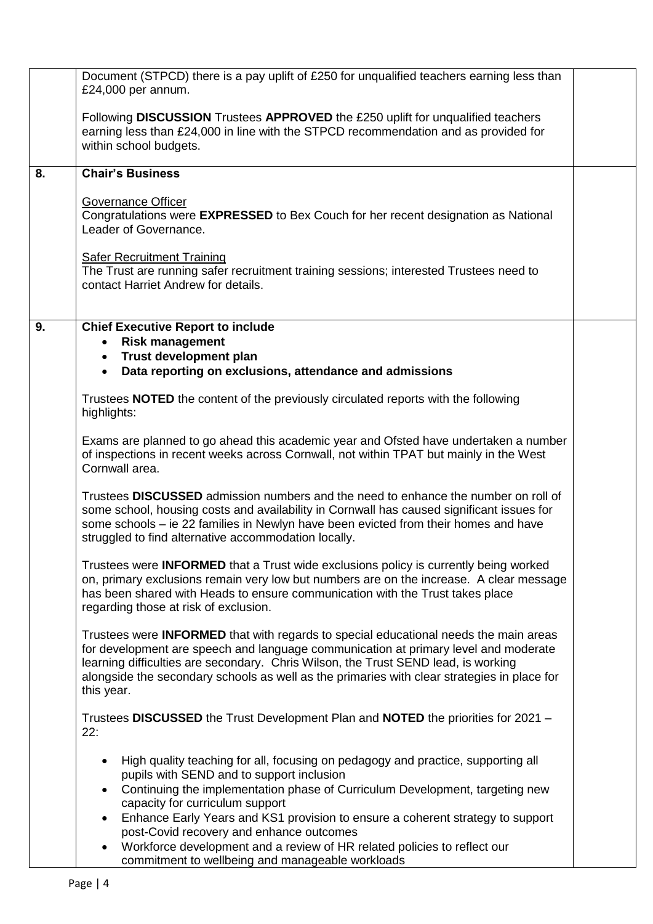|    | Document (STPCD) there is a pay uplift of £250 for unqualified teachers earning less than<br>£24,000 per annum.                                                                                                                                                                                                                                                                       |  |
|----|---------------------------------------------------------------------------------------------------------------------------------------------------------------------------------------------------------------------------------------------------------------------------------------------------------------------------------------------------------------------------------------|--|
|    | Following DISCUSSION Trustees APPROVED the £250 uplift for unqualified teachers<br>earning less than £24,000 in line with the STPCD recommendation and as provided for<br>within school budgets.                                                                                                                                                                                      |  |
| 8. | <b>Chair's Business</b>                                                                                                                                                                                                                                                                                                                                                               |  |
|    | Governance Officer<br>Congratulations were EXPRESSED to Bex Couch for her recent designation as National<br>Leader of Governance.                                                                                                                                                                                                                                                     |  |
|    | <b>Safer Recruitment Training</b><br>The Trust are running safer recruitment training sessions; interested Trustees need to<br>contact Harriet Andrew for details.                                                                                                                                                                                                                    |  |
| 9. | <b>Chief Executive Report to include</b><br><b>Risk management</b><br>$\bullet$<br>Trust development plan<br>$\bullet$                                                                                                                                                                                                                                                                |  |
|    | Data reporting on exclusions, attendance and admissions<br>$\bullet$                                                                                                                                                                                                                                                                                                                  |  |
|    | Trustees <b>NOTED</b> the content of the previously circulated reports with the following<br>highlights:                                                                                                                                                                                                                                                                              |  |
|    | Exams are planned to go ahead this academic year and Ofsted have undertaken a number<br>of inspections in recent weeks across Cornwall, not within TPAT but mainly in the West<br>Cornwall area.                                                                                                                                                                                      |  |
|    | Trustees DISCUSSED admission numbers and the need to enhance the number on roll of<br>some school, housing costs and availability in Cornwall has caused significant issues for<br>some schools – ie 22 families in Newlyn have been evicted from their homes and have<br>struggled to find alternative accommodation locally.                                                        |  |
|    | Trustees were INFORMED that a Trust wide exclusions policy is currently being worked<br>on, primary exclusions remain very low but numbers are on the increase. A clear message<br>has been shared with Heads to ensure communication with the Trust takes place<br>regarding those at risk of exclusion.                                                                             |  |
|    | Trustees were <b>INFORMED</b> that with regards to special educational needs the main areas<br>for development are speech and language communication at primary level and moderate<br>learning difficulties are secondary. Chris Wilson, the Trust SEND lead, is working<br>alongside the secondary schools as well as the primaries with clear strategies in place for<br>this year. |  |
|    | Trustees DISCUSSED the Trust Development Plan and NOTED the priorities for 2021 -<br>22:                                                                                                                                                                                                                                                                                              |  |
|    | High quality teaching for all, focusing on pedagogy and practice, supporting all<br>$\bullet$<br>pupils with SEND and to support inclusion<br>Continuing the implementation phase of Curriculum Development, targeting new<br>$\bullet$<br>capacity for curriculum support                                                                                                            |  |
|    | Enhance Early Years and KS1 provision to ensure a coherent strategy to support<br>$\bullet$<br>post-Covid recovery and enhance outcomes<br>Workforce development and a review of HR related policies to reflect our<br>$\bullet$<br>commitment to wellbeing and manageable workloads                                                                                                  |  |
|    |                                                                                                                                                                                                                                                                                                                                                                                       |  |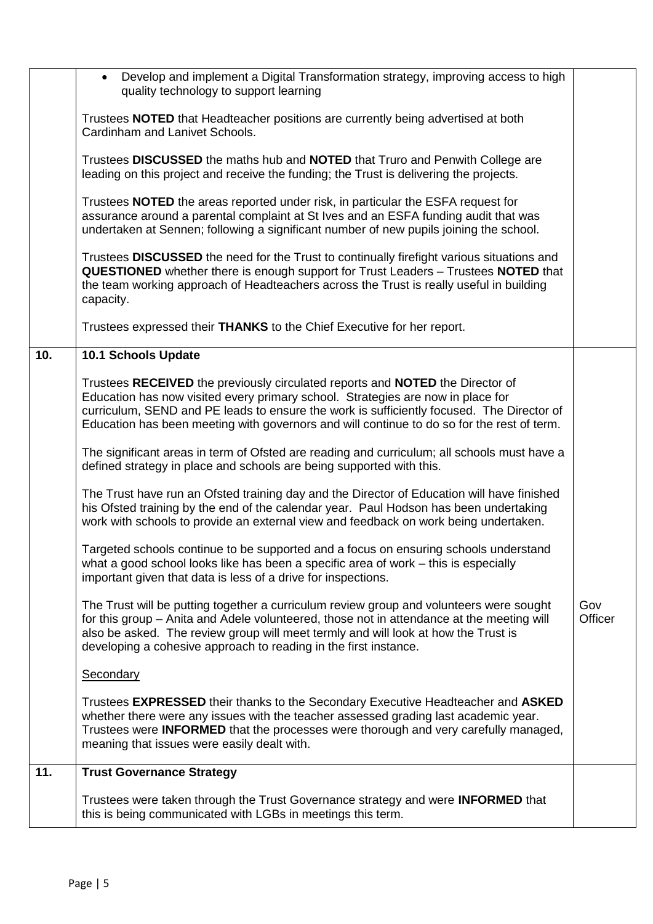|     | Develop and implement a Digital Transformation strategy, improving access to high<br>$\bullet$<br>quality technology to support learning                                                                                                                                                                                                                    |                |
|-----|-------------------------------------------------------------------------------------------------------------------------------------------------------------------------------------------------------------------------------------------------------------------------------------------------------------------------------------------------------------|----------------|
|     | Trustees <b>NOTED</b> that Headteacher positions are currently being advertised at both<br>Cardinham and Lanivet Schools.                                                                                                                                                                                                                                   |                |
|     | Trustees DISCUSSED the maths hub and NOTED that Truro and Penwith College are<br>leading on this project and receive the funding; the Trust is delivering the projects.                                                                                                                                                                                     |                |
|     | Trustees <b>NOTED</b> the areas reported under risk, in particular the ESFA request for<br>assurance around a parental complaint at St Ives and an ESFA funding audit that was<br>undertaken at Sennen; following a significant number of new pupils joining the school.                                                                                    |                |
|     | Trustees DISCUSSED the need for the Trust to continually firefight various situations and<br>QUESTIONED whether there is enough support for Trust Leaders - Trustees NOTED that<br>the team working approach of Headteachers across the Trust is really useful in building<br>capacity.                                                                     |                |
|     | Trustees expressed their THANKS to the Chief Executive for her report.                                                                                                                                                                                                                                                                                      |                |
| 10. | 10.1 Schools Update                                                                                                                                                                                                                                                                                                                                         |                |
|     | Trustees RECEIVED the previously circulated reports and NOTED the Director of<br>Education has now visited every primary school. Strategies are now in place for<br>curriculum, SEND and PE leads to ensure the work is sufficiently focused. The Director of<br>Education has been meeting with governors and will continue to do so for the rest of term. |                |
|     | The significant areas in term of Ofsted are reading and curriculum; all schools must have a<br>defined strategy in place and schools are being supported with this.                                                                                                                                                                                         |                |
|     | The Trust have run an Ofsted training day and the Director of Education will have finished<br>his Ofsted training by the end of the calendar year. Paul Hodson has been undertaking<br>work with schools to provide an external view and feedback on work being undertaken.                                                                                 |                |
|     | Targeted schools continue to be supported and a focus on ensuring schools understand<br>what a good school looks like has been a specific area of work - this is especially<br>important given that data is less of a drive for inspections.                                                                                                                |                |
|     | The Trust will be putting together a curriculum review group and volunteers were sought<br>for this group – Anita and Adele volunteered, those not in attendance at the meeting will<br>also be asked. The review group will meet termly and will look at how the Trust is<br>developing a cohesive approach to reading in the first instance.              | Gov<br>Officer |
|     | <b>Secondary</b>                                                                                                                                                                                                                                                                                                                                            |                |
|     | Trustees EXPRESSED their thanks to the Secondary Executive Headteacher and ASKED<br>whether there were any issues with the teacher assessed grading last academic year.<br>Trustees were <b>INFORMED</b> that the processes were thorough and very carefully managed,<br>meaning that issues were easily dealt with.                                        |                |
| 11. | <b>Trust Governance Strategy</b>                                                                                                                                                                                                                                                                                                                            |                |
|     | Trustees were taken through the Trust Governance strategy and were <b>INFORMED</b> that<br>this is being communicated with LGBs in meetings this term.                                                                                                                                                                                                      |                |
|     |                                                                                                                                                                                                                                                                                                                                                             |                |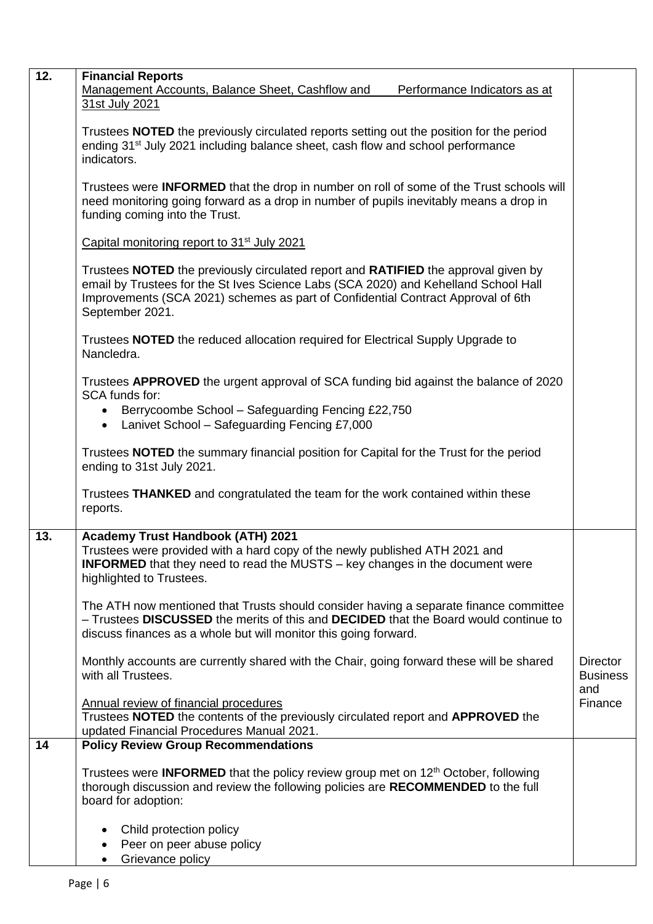| 12. | <b>Financial Reports</b>                                                                                                                                                                                                                                                                       |                                    |
|-----|------------------------------------------------------------------------------------------------------------------------------------------------------------------------------------------------------------------------------------------------------------------------------------------------|------------------------------------|
|     | Management Accounts, Balance Sheet, Cashflow and<br>Performance Indicators as at                                                                                                                                                                                                               |                                    |
|     | 31st July 2021                                                                                                                                                                                                                                                                                 |                                    |
|     | Trustees <b>NOTED</b> the previously circulated reports setting out the position for the period<br>ending 31 <sup>st</sup> July 2021 including balance sheet, cash flow and school performance<br>indicators.                                                                                  |                                    |
|     | Trustees were <b>INFORMED</b> that the drop in number on roll of some of the Trust schools will<br>need monitoring going forward as a drop in number of pupils inevitably means a drop in<br>funding coming into the Trust.                                                                    |                                    |
|     | Capital monitoring report to 31 <sup>st</sup> July 2021                                                                                                                                                                                                                                        |                                    |
|     | Trustees <b>NOTED</b> the previously circulated report and <b>RATIFIED</b> the approval given by<br>email by Trustees for the St Ives Science Labs (SCA 2020) and Kehelland School Hall<br>Improvements (SCA 2021) schemes as part of Confidential Contract Approval of 6th<br>September 2021. |                                    |
|     | Trustees <b>NOTED</b> the reduced allocation required for Electrical Supply Upgrade to<br>Nancledra.                                                                                                                                                                                           |                                    |
|     | Trustees APPROVED the urgent approval of SCA funding bid against the balance of 2020<br>SCA funds for:                                                                                                                                                                                         |                                    |
|     | Berrycoombe School - Safeguarding Fencing £22,750<br>٠<br>• Lanivet School - Safeguarding Fencing £7,000                                                                                                                                                                                       |                                    |
|     | Trustees <b>NOTED</b> the summary financial position for Capital for the Trust for the period<br>ending to 31st July 2021.                                                                                                                                                                     |                                    |
|     | Trustees THANKED and congratulated the team for the work contained within these<br>reports.                                                                                                                                                                                                    |                                    |
| 13. | <b>Academy Trust Handbook (ATH) 2021</b>                                                                                                                                                                                                                                                       |                                    |
|     | Trustees were provided with a hard copy of the newly published ATH 2021 and<br><b>INFORMED</b> that they need to read the MUSTS – key changes in the document were<br>highlighted to Trustees.                                                                                                 |                                    |
|     | The ATH now mentioned that Trusts should consider having a separate finance committee<br>- Trustees DISCUSSED the merits of this and DECIDED that the Board would continue to<br>discuss finances as a whole but will monitor this going forward.                                              |                                    |
|     | Monthly accounts are currently shared with the Chair, going forward these will be shared<br>with all Trustees.                                                                                                                                                                                 | <b>Director</b><br><b>Business</b> |
|     | Annual review of financial procedures<br>Trustees NOTED the contents of the previously circulated report and APPROVED the<br>updated Financial Procedures Manual 2021.                                                                                                                         | and<br>Finance                     |
| 14  | <b>Policy Review Group Recommendations</b>                                                                                                                                                                                                                                                     |                                    |
|     | Trustees were <b>INFORMED</b> that the policy review group met on 12 <sup>th</sup> October, following<br>thorough discussion and review the following policies are RECOMMENDED to the full<br>board for adoption:                                                                              |                                    |
|     | Child protection policy<br>Peer on peer abuse policy<br>Grievance policy                                                                                                                                                                                                                       |                                    |